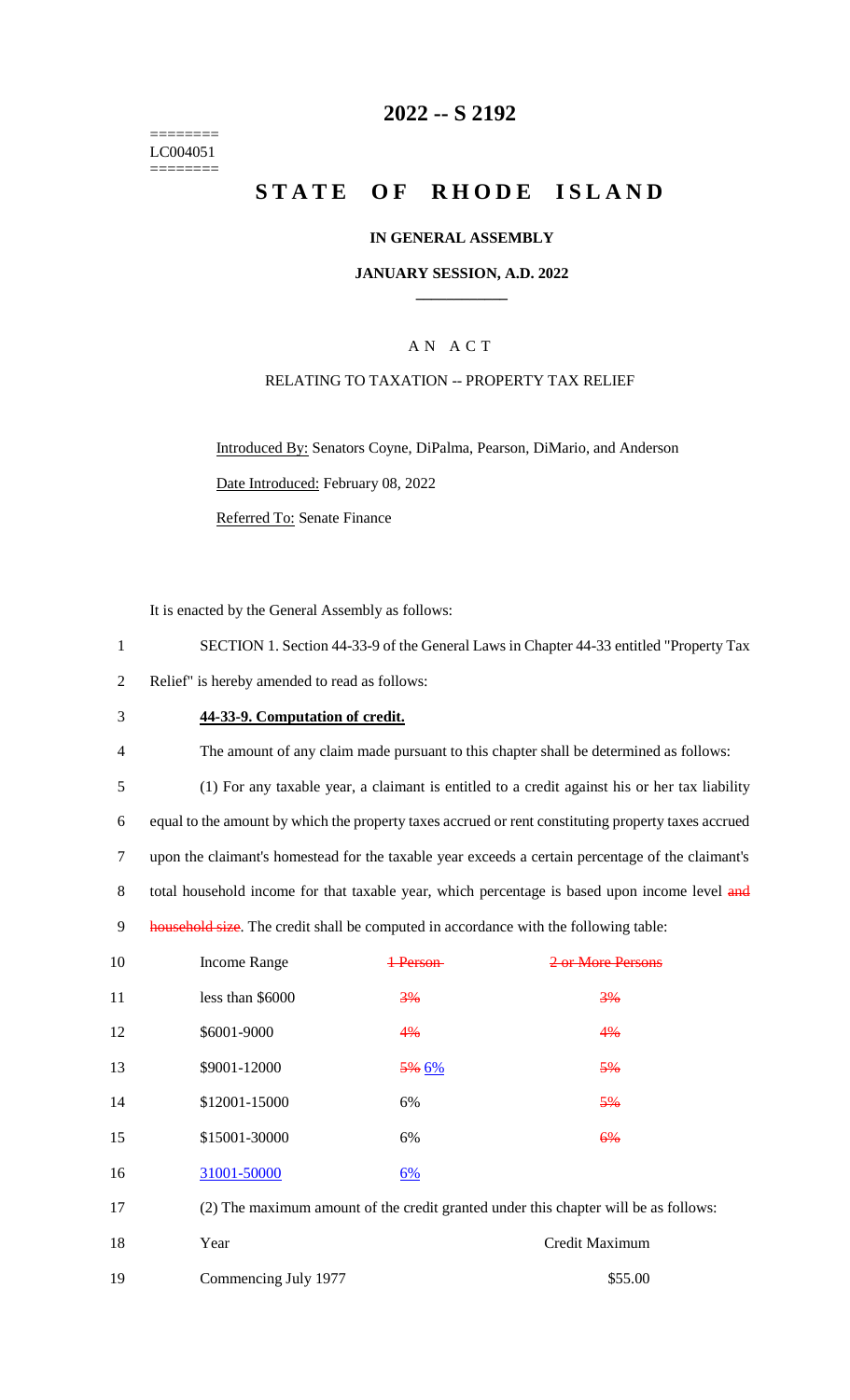======== LC004051 ========

# **2022 -- S 2192**

# **STATE OF RHODE ISLAND**

#### **IN GENERAL ASSEMBLY**

#### **JANUARY SESSION, A.D. 2022 \_\_\_\_\_\_\_\_\_\_\_\_**

### A N A C T

#### RELATING TO TAXATION -- PROPERTY TAX RELIEF

Introduced By: Senators Coyne, DiPalma, Pearson, DiMario, and Anderson Date Introduced: February 08, 2022 Referred To: Senate Finance

It is enacted by the General Assembly as follows:

- 1 SECTION 1. Section 44-33-9 of the General Laws in Chapter 44-33 entitled "Property Tax 2 Relief" is hereby amended to read as follows:
- 3 **44-33-9. Computation of credit.**
- 4 The amount of any claim made pursuant to this chapter shall be determined as follows:

5 (1) For any taxable year, a claimant is entitled to a credit against his or her tax liability 6 equal to the amount by which the property taxes accrued or rent constituting property taxes accrued 7 upon the claimant's homestead for the taxable year exceeds a certain percentage of the claimant's 8 total household income for that taxable year, which percentage is based upon income level and 9 household size. The credit shall be computed in accordance with the following table:

| 10 | <b>Income Range</b> | Parcon                                                                              | 2 or More Deceps |  |  |
|----|---------------------|-------------------------------------------------------------------------------------|------------------|--|--|
| 11 | less than \$6000    | 3%                                                                                  | 3%               |  |  |
| 12 | \$6001-9000         | 4%                                                                                  | 4%               |  |  |
| 13 | \$9001-12000        | <del>5%</del> 6%                                                                    | 5%               |  |  |
| 14 | \$12001-15000       | 6%                                                                                  | 5%               |  |  |
| 15 | \$15001-30000       | 6%                                                                                  | 6%               |  |  |
| 16 | 31001-50000         | $6\%$                                                                               |                  |  |  |
| 17 |                     | (2) The maximum amount of the credit granted under this chapter will be as follows: |                  |  |  |
| 18 | Year                |                                                                                     | Credit Maximum   |  |  |

| 10 | i vai                | CICQUE PHATHIQUI |
|----|----------------------|------------------|
| 19 | Commencing July 1977 | \$55.00          |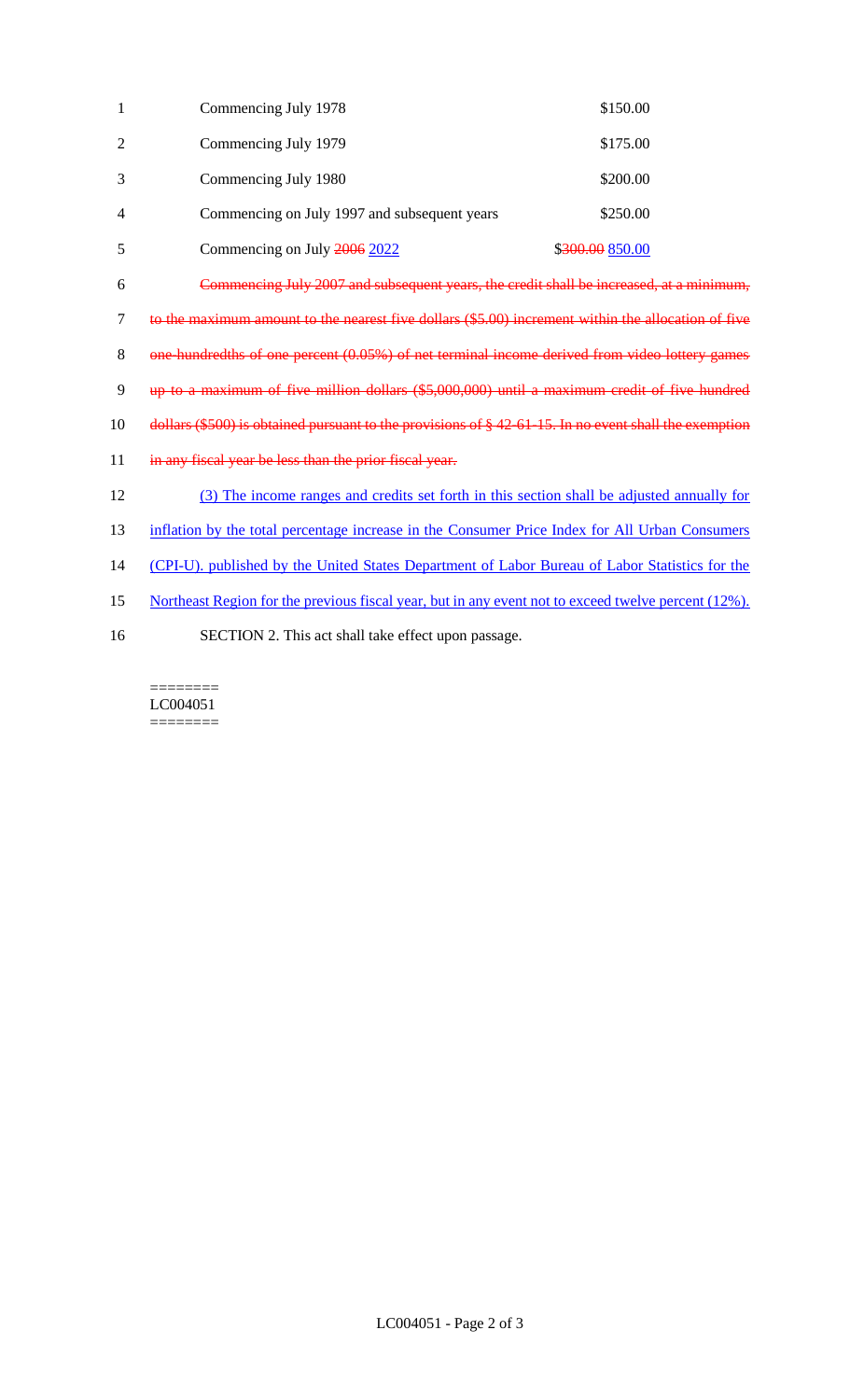| $\mathbf{1}$   | Commencing July 1978                                                                                      | \$150.00        |  |
|----------------|-----------------------------------------------------------------------------------------------------------|-----------------|--|
| $\overline{2}$ | Commencing July 1979                                                                                      | \$175.00        |  |
| 3              | Commencing July 1980                                                                                      | \$200.00        |  |
| 4              | Commencing on July 1997 and subsequent years                                                              | \$250.00        |  |
| 5              | Commencing on July 2006 2022                                                                              | \$300.00 850.00 |  |
| 6              | Commencing July 2007 and subsequent years, the credit shall be increased, at a minimum,                   |                 |  |
| $\tau$         | to the maximum amount to the nearest five dollars (\$5.00) increment within the allocation of five        |                 |  |
| 8              | one-hundredths of one percent (0.05%) of net terminal income derived from video lottery games             |                 |  |
| 9              | up to a maximum of five million dollars (\$5,000,000) until a maximum credit of five hundred              |                 |  |
| 10             | dollars $(\$500)$ is obtained pursuant to the provisions of $§$ 42 61-15. In no event shall the exemption |                 |  |
| 11             | in any fiscal year be less than the prior fiscal year.                                                    |                 |  |
| 12             | (3) The income ranges and credits set forth in this section shall be adjusted annually for                |                 |  |
| 13             | inflation by the total percentage increase in the Consumer Price Index for All Urban Consumers            |                 |  |
| 14             | (CPI-U). published by the United States Department of Labor Bureau of Labor Statistics for the            |                 |  |
| 15             | Northeast Region for the previous fiscal year, but in any event not to exceed twelve percent (12%).       |                 |  |
| 16             | SECTION 2. This act shall take effect upon passage.                                                       |                 |  |

 $\begin{minipage}{0.9\linewidth} \begin{tabular}{l} \hline \textbf{r} & \textbf{r} \\ \hline \textbf{r} & \textbf{r} \\ \hline \textbf{r} & \textbf{r} \\ \hline \textbf{r} & \textbf{r} \\ \hline \textbf{r} & \textbf{r} \\ \hline \textbf{r} & \textbf{r} \\ \hline \textbf{r} & \textbf{r} \\ \hline \textbf{r} & \textbf{r} \\ \hline \textbf{r} & \textbf{r} \\ \hline \textbf{r} & \textbf{r} \\ \hline \textbf{r} & \textbf{r} \\ \hline \textbf{r} & \text$ LC004051  $=$